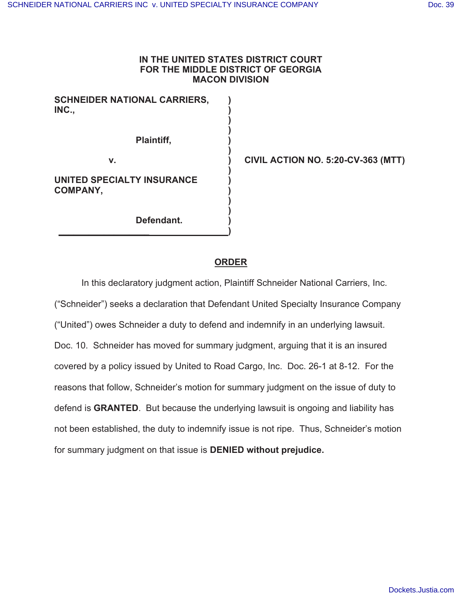## **IN THE UNITED STATES DISTRICT COURT FOR THE MIDDLE DISTRICT OF GEORGIA MACON DIVISION**

 **)** 

 **)** 

 **)** 

 $\rightarrow$ 

**SCHNEIDER NATIONAL CARRIERS, ) INC., )** 

 **)** 

 **)** 

**\_\_\_\_\_\_\_\_\_\_\_\_\_\_\_\_\_\_ )** 

**Plaintiff, )** 

**v. ) CIVIL ACTION NO. 5:20-CV-363 (MTT)** 

**UNITED SPECIALTY INSURANCE ) COMPANY, )** 

**Defendant. )** 

# **ORDER**

 In this declaratory judgment action, Plaintiff Schneider National Carriers, Inc. ("Schneider") seeks a declaration that Defendant United Specialty Insurance Company ("United") owes Schneider a duty to defend and indemnify in an underlying lawsuit. Doc. 10. Schneider has moved for summary judgment, arguing that it is an insured covered by a policy issued by United to Road Cargo, Inc. Doc. 26-1 at 8-12. For the reasons that follow, Schneider's motion for summary judgment on the issue of duty to defend is **GRANTED**. But because the underlying lawsuit is ongoing and liability has not been established, the duty to indemnify issue is not ripe. Thus, Schneider's motion for summary judgment on that issue is **DENIED without prejudice.**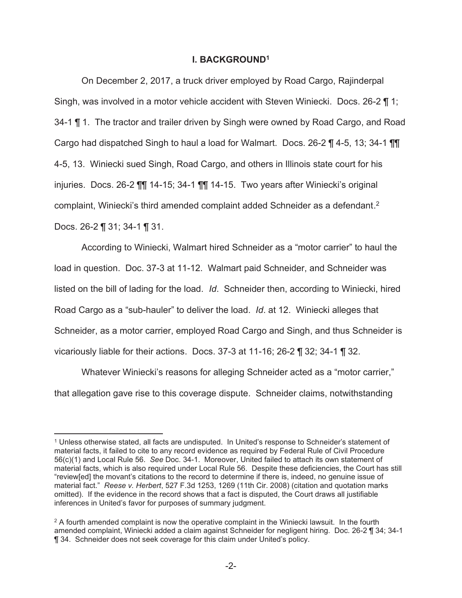## **I. BACKGROUND<sup>1</sup>**

On December 2, 2017, a truck driver employed by Road Cargo, Rajinderpal Singh, was involved in a motor vehicle accident with Steven Winiecki. Docs. 26-2 ¶ 1; 34-1 ¶ 1. The tractor and trailer driven by Singh were owned by Road Cargo, and Road Cargo had dispatched Singh to haul a load for Walmart. Docs. 26-2 ¶ 4-5, 13; 34-1 ¶¶ 4-5, 13. Winiecki sued Singh, Road Cargo, and others in Illinois state court for his injuries. Docs. 26-2 ¶¶ 14-15; 34-1 ¶¶ 14-15. Two years after Winiecki's original complaint, Winiecki's third amended complaint added Schneider as a defendant. 2 Docs. 26-2 ¶ 31; 34-1 ¶ 31.

According to Winiecki, Walmart hired Schneider as a "motor carrier" to haul the load in question. Doc. 37-3 at 11-12. Walmart paid Schneider, and Schneider was listed on the bill of lading for the load. *Id*. Schneider then, according to Winiecki, hired Road Cargo as a "sub-hauler" to deliver the load. *Id*. at 12. Winiecki alleges that Schneider, as a motor carrier, employed Road Cargo and Singh, and thus Schneider is vicariously liable for their actions. Docs. 37-3 at 11-16; 26-2 ¶ 32; 34-1 ¶ 32.

Whatever Winiecki's reasons for alleging Schneider acted as a "motor carrier," that allegation gave rise to this coverage dispute. Schneider claims, notwithstanding

<sup>1</sup> Unless otherwise stated, all facts are undisputed. In United's response to Schneider's statement of material facts, it failed to cite to any record evidence as required by Federal Rule of Civil Procedure 56(c)(1) and Local Rule 56. *See* Doc. 34-1. Moreover, United failed to attach its own statement of material facts, which is also required under Local Rule 56. Despite these deficiencies, the Court has still "review[ed] the movant's citations to the record to determine if there is, indeed, no genuine issue of material fact." *Reese v. Herbert*, 527 F.3d 1253, 1269 (11th Cir. 2008) (citation and quotation marks omitted). If the evidence in the record shows that a fact is disputed, the Court draws all justifiable inferences in United's favor for purposes of summary judgment.

 $^2$  A fourth amended complaint is now the operative complaint in the Winiecki lawsuit. In the fourth  $\,$ amended complaint, Winiecki added a claim against Schneider for negligent hiring. Doc. 26-2 ¶ 34; 34-1 ¶ 34. Schneider does not seek coverage for this claim under United's policy.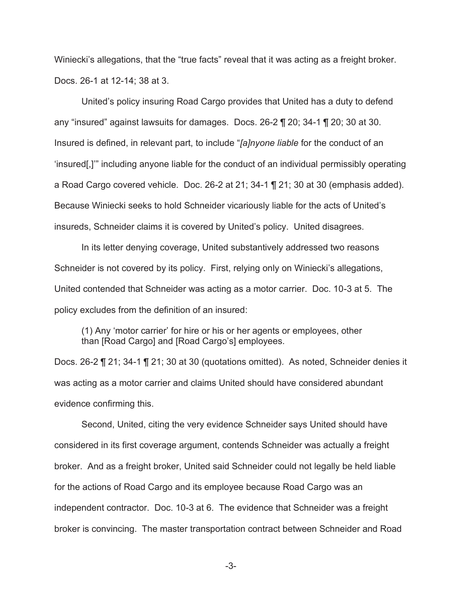Winiecki's allegations, that the "true facts" reveal that it was acting as a freight broker. Docs. 26-1 at 12-14; 38 at 3.

United's policy insuring Road Cargo provides that United has a duty to defend any "insured" against lawsuits for damages. Docs. 26-2 ¶ 20; 34-1 ¶ 20; 30 at 30. Insured is defined, in relevant part, to include "*[a]nyone liable* for the conduct of an 'insured[,]'" including anyone liable for the conduct of an individual permissibly operating a Road Cargo covered vehicle. Doc. 26-2 at 21; 34-1 ¶ 21; 30 at 30 (emphasis added). Because Winiecki seeks to hold Schneider vicariously liable for the acts of United's insureds, Schneider claims it is covered by United's policy. United disagrees.

 In its letter denying coverage, United substantively addressed two reasons Schneider is not covered by its policy. First, relying only on Winiecki's allegations, United contended that Schneider was acting as a motor carrier. Doc. 10-3 at 5. The policy excludes from the definition of an insured:

(1) Any 'motor carrier' for hire or his or her agents or employees, other than [Road Cargo] and [Road Cargo's] employees.

Docs. 26-2 ¶ 21; 34-1 ¶ 21; 30 at 30 (quotations omitted). As noted, Schneider denies it was acting as a motor carrier and claims United should have considered abundant evidence confirming this.

Second, United, citing the very evidence Schneider says United should have considered in its first coverage argument, contends Schneider was actually a freight broker. And as a freight broker, United said Schneider could not legally be held liable for the actions of Road Cargo and its employee because Road Cargo was an independent contractor. Doc. 10-3 at 6. The evidence that Schneider was a freight broker is convincing. The master transportation contract between Schneider and Road

-3-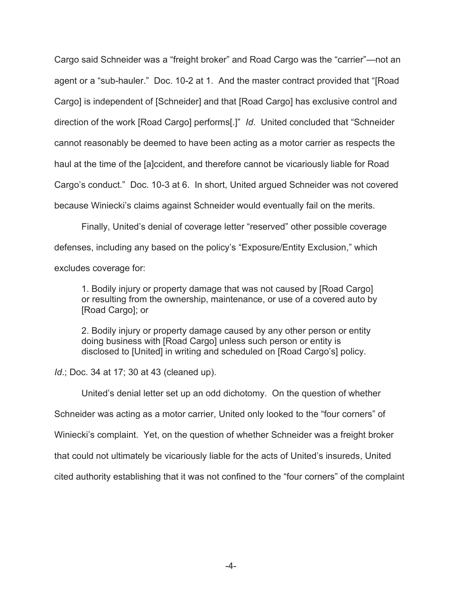Cargo said Schneider was a "freight broker" and Road Cargo was the "carrier"—not an agent or a "sub-hauler." Doc. 10-2 at 1. And the master contract provided that "[Road Cargo] is independent of [Schneider] and that [Road Cargo] has exclusive control and direction of the work [Road Cargo] performs[.]" *Id*. United concluded that "Schneider cannot reasonably be deemed to have been acting as a motor carrier as respects the haul at the time of the [a]ccident, and therefore cannot be vicariously liable for Road Cargo's conduct." Doc. 10-3 at 6. In short, United argued Schneider was not covered because Winiecki's claims against Schneider would eventually fail on the merits.

Finally, United's denial of coverage letter "reserved" other possible coverage defenses, including any based on the policy's "Exposure/Entity Exclusion," which excludes coverage for:

1. Bodily injury or property damage that was not caused by [Road Cargo] or resulting from the ownership, maintenance, or use of a covered auto by [Road Cargo]; or

2. Bodily injury or property damage caused by any other person or entity doing business with [Road Cargo] unless such person or entity is disclosed to [United] in writing and scheduled on [Road Cargo's] policy.

*Id*.; Doc. 34 at 17; 30 at 43 (cleaned up).

United's denial letter set up an odd dichotomy. On the question of whether Schneider was acting as a motor carrier, United only looked to the "four corners" of Winiecki's complaint. Yet, on the question of whether Schneider was a freight broker that could not ultimately be vicariously liable for the acts of United's insureds, United cited authority establishing that it was not confined to the "four corners" of the complaint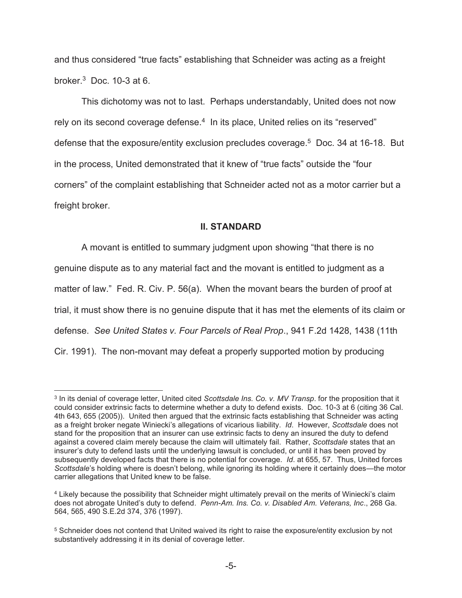and thus considered "true facts" establishing that Schneider was acting as a freight broker.<sup>3</sup> Doc. 10-3 at 6.

This dichotomy was not to last. Perhaps understandably, United does not now rely on its second coverage defense.<sup>4</sup> In its place, United relies on its "reserved" defense that the exposure/entity exclusion precludes coverage.<sup>5</sup> Doc. 34 at 16-18. But in the process, United demonstrated that it knew of "true facts" outside the "four corners" of the complaint establishing that Schneider acted not as a motor carrier but a freight broker.

## **II. STANDARD**

A movant is entitled to summary judgment upon showing "that there is no genuine dispute as to any material fact and the movant is entitled to judgment as a matter of law." Fed. R. Civ. P. 56(a). When the movant bears the burden of proof at trial, it must show there is no genuine dispute that it has met the elements of its claim or defense. *See United States v. Four Parcels of Real Prop*., 941 F.2d 1428, 1438 (11th Cir. 1991). The non-movant may defeat a properly supported motion by producing

<sup>3</sup> In its denial of coverage letter, United cited *Scottsdale Ins. Co. v. MV Transp*. for the proposition that it could consider extrinsic facts to determine whether a duty to defend exists. Doc. 10-3 at 6 (citing 36 Cal. 4th 643, 655 (2005)). United then argued that the extrinsic facts establishing that Schneider was acting as a freight broker negate Winiecki's allegations of vicarious liability. *Id*. However, *Scottsdale* does not stand for the proposition that an insurer can use extrinsic facts to deny an insured the duty to defend against a covered claim merely because the claim will ultimately fail. Rather, *Scottsdale* states that an insurer's duty to defend lasts until the underlying lawsuit is concluded, or until it has been proved by subsequently developed facts that there is no potential for coverage. *Id*. at 655, 57. Thus, United forces *Scottsdale*'s holding where is doesn't belong, while ignoring its holding where it certainly does—the motor carrier allegations that United knew to be false.

<sup>4</sup> Likely because the possibility that Schneider might ultimately prevail on the merits of Winiecki's claim does not abrogate United's duty to defend. *Penn-Am. Ins. Co. v. Disabled Am. Veterans, Inc*., 268 Ga. 564, 565, 490 S.E.2d 374, 376 (1997).

 $^5$  Schneider does not contend that United waived its right to raise the exposure/entity exclusion by not substantively addressing it in its denial of coverage letter.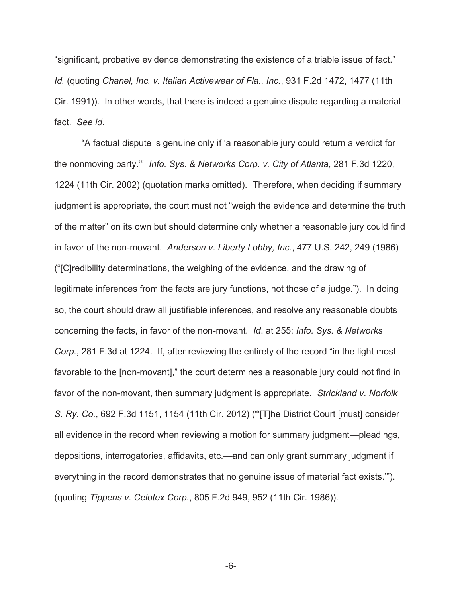"significant, probative evidence demonstrating the existence of a triable issue of fact." *Id.* (quoting *Chanel, Inc. v. Italian Activewear of Fla., Inc.*, 931 F.2d 1472, 1477 (11th Cir. 1991)). In other words, that there is indeed a genuine dispute regarding a material fact. *See id*.

"A factual dispute is genuine only if 'a reasonable jury could return a verdict for the nonmoving party.'" *Info. Sys. & Networks Corp. v. City of Atlanta*, 281 F.3d 1220, 1224 (11th Cir. 2002) (quotation marks omitted). Therefore, when deciding if summary judgment is appropriate, the court must not "weigh the evidence and determine the truth of the matter" on its own but should determine only whether a reasonable jury could find in favor of the non-movant. *Anderson v. Liberty Lobby, Inc.*, 477 U.S. 242, 249 (1986) ("[C]redibility determinations, the weighing of the evidence, and the drawing of legitimate inferences from the facts are jury functions, not those of a judge."). In doing so, the court should draw all justifiable inferences, and resolve any reasonable doubts concerning the facts, in favor of the non-movant. *Id*. at 255; *Info. Sys. & Networks Corp.*, 281 F.3d at 1224. If, after reviewing the entirety of the record "in the light most favorable to the [non-movant]," the court determines a reasonable jury could not find in favor of the non-movant, then summary judgment is appropriate. *Strickland v. Norfolk S. Ry. Co.*, 692 F.3d 1151, 1154 (11th Cir. 2012) ("'[T]he District Court [must] consider all evidence in the record when reviewing a motion for summary judgment—pleadings, depositions, interrogatories, affidavits, etc.—and can only grant summary judgment if everything in the record demonstrates that no genuine issue of material fact exists.'"). (quoting *Tippens v. Celotex Corp.*, 805 F.2d 949, 952 (11th Cir. 1986)).

-6-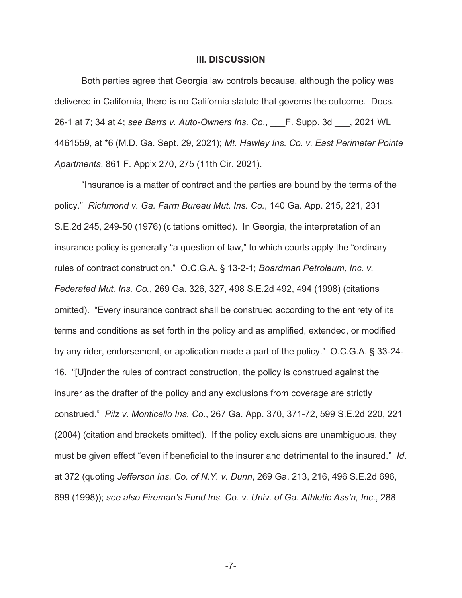### **III. DISCUSSION**

Both parties agree that Georgia law controls because, although the policy was delivered in California, there is no California statute that governs the outcome. Docs. 26-1 at 7; 34 at 4; *see Barrs v. Auto-Owners Ins. Co*., \_\_\_F. Supp. 3d \_\_\_, 2021 WL 4461559, at \*6 (M.D. Ga. Sept. 29, 2021); *Mt. Hawley Ins. Co. v. East Perimeter Pointe Apartments*, 861 F. App'x 270, 275 (11th Cir. 2021).

"Insurance is a matter of contract and the parties are bound by the terms of the policy." *Richmond v. Ga. Farm Bureau Mut. Ins. Co.*, 140 Ga. App. 215, 221, 231 S.E.2d 245, 249-50 (1976) (citations omitted). In Georgia, the interpretation of an insurance policy is generally "a question of law," to which courts apply the "ordinary rules of contract construction." O.C.G.A. § 13-2-1; *Boardman Petroleum, Inc. v. Federated Mut. Ins. Co.*, 269 Ga. 326, 327, 498 S.E.2d 492, 494 (1998) (citations omitted). "Every insurance contract shall be construed according to the entirety of its terms and conditions as set forth in the policy and as amplified, extended, or modified by any rider, endorsement, or application made a part of the policy." O.C.G.A. § 33-24- 16. "[U]nder the rules of contract construction, the policy is construed against the insurer as the drafter of the policy and any exclusions from coverage are strictly construed." *Pilz v. Monticello Ins. Co.*, 267 Ga. App. 370, 371-72, 599 S.E.2d 220, 221 (2004) (citation and brackets omitted). If the policy exclusions are unambiguous, they must be given effect "even if beneficial to the insurer and detrimental to the insured." *Id*. at 372 (quoting *Jefferson Ins. Co. of N.Y. v. Dunn*, 269 Ga. 213, 216, 496 S.E.2d 696, 699 (1998)); *see also Fireman's Fund Ins. Co. v. Univ. of Ga. Athletic Ass'n, Inc.*, 288

-7-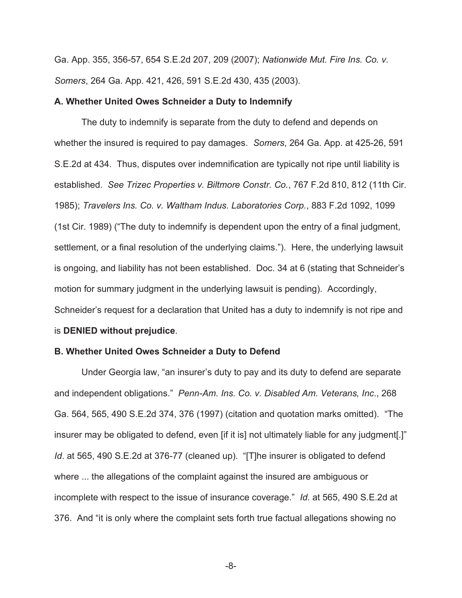Ga. App. 355, 356-57, 654 S.E.2d 207, 209 (2007); *Nationwide Mut. Fire Ins. Co. v. Somers*, 264 Ga. App. 421, 426, 591 S.E.2d 430, 435 (2003).

### **A. Whether United Owes Schneider a Duty to Indemnify**

The duty to indemnify is separate from the duty to defend and depends on whether the insured is required to pay damages. *Somers*, 264 Ga. App. at 425-26, 591 S.E.2d at 434. Thus, disputes over indemnification are typically not ripe until liability is established. *See Trizec Properties v. Biltmore Constr. Co.*, 767 F.2d 810, 812 (11th Cir. 1985); *Travelers Ins. Co. v. Waltham Indus. Laboratories Corp.*, 883 F.2d 1092, 1099 (1st Cir. 1989) ("The duty to indemnify is dependent upon the entry of a final judgment, settlement, or a final resolution of the underlying claims."). Here, the underlying lawsuit is ongoing, and liability has not been established. Doc. 34 at 6 (stating that Schneider's motion for summary judgment in the underlying lawsuit is pending). Accordingly, Schneider's request for a declaration that United has a duty to indemnify is not ripe and is **DENIED without prejudice**.

### **B. Whether United Owes Schneider a Duty to Defend**

Under Georgia law, "an insurer's duty to pay and its duty to defend are separate and independent obligations." *Penn-Am. Ins. Co. v. Disabled Am. Veterans, Inc*., 268 Ga. 564, 565, 490 S.E.2d 374, 376 (1997) (citation and quotation marks omitted). "The insurer may be obligated to defend, even [if it is] not ultimately liable for any judgment[.]" *Id*. at 565, 490 S.E.2d at 376-77 (cleaned up). "[T]he insurer is obligated to defend where ... the allegations of the complaint against the insured are ambiguous or incomplete with respect to the issue of insurance coverage." *Id*. at 565, 490 S.E.2d at 376. And "it is only where the complaint sets forth true factual allegations showing no

-8-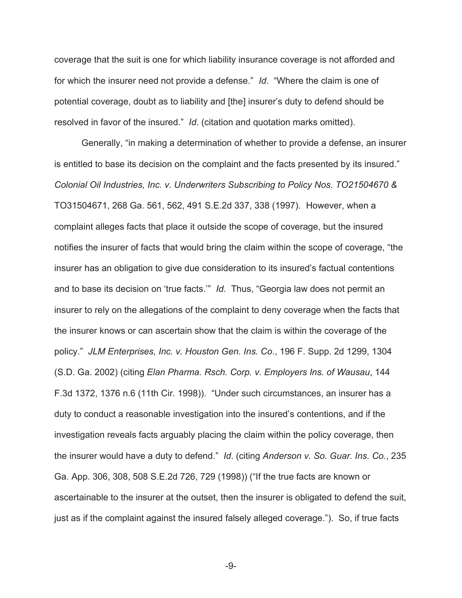coverage that the suit is one for which liability insurance coverage is not afforded and for which the insurer need not provide a defense." *Id*. "Where the claim is one of potential coverage, doubt as to liability and [the] insurer's duty to defend should be resolved in favor of the insured." *Id*. (citation and quotation marks omitted).

Generally, "in making a determination of whether to provide a defense, an insurer is entitled to base its decision on the complaint and the facts presented by its insured." *Colonial Oil Industries, Inc. v. Underwriters Subscribing to Policy Nos. TO21504670 &*  TO31504671, 268 Ga. 561, 562, 491 S.E.2d 337, 338 (1997).However, when a complaint alleges facts that place it outside the scope of coverage, but the insured notifies the insurer of facts that would bring the claim within the scope of coverage, "the insurer has an obligation to give due consideration to its insured's factual contentions and to base its decision on 'true facts.'" *Id*. Thus, "Georgia law does not permit an insurer to rely on the allegations of the complaint to deny coverage when the facts that the insurer knows or can ascertain show that the claim is within the coverage of the policy." *JLM Enterprises, Inc. v. Houston Gen. Ins. Co*., 196 F. Supp. 2d 1299, 1304 (S.D. Ga. 2002) (citing *Elan Pharma. Rsch. Corp. v. Employers Ins. of Wausau*, 144 F.3d 1372, 1376 n.6 (11th Cir. 1998)). "Under such circumstances, an insurer has a duty to conduct a reasonable investigation into the insured's contentions, and if the investigation reveals facts arguably placing the claim within the policy coverage, then the insurer would have a duty to defend." *Id*. (citing *Anderson v. So. Guar. Ins. Co.*, 235 Ga. App. 306, 308, 508 S.E.2d 726, 729 (1998)) ("If the true facts are known or ascertainable to the insurer at the outset, then the insurer is obligated to defend the suit, just as if the complaint against the insured falsely alleged coverage."). So, if true facts

-9-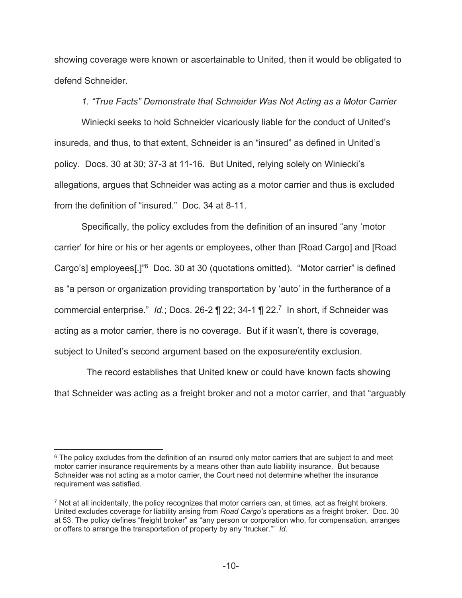showing coverage were known or ascertainable to United, then it would be obligated to defend Schneider.

*1. "True Facts" Demonstrate that Schneider Was Not Acting as a Motor Carrier* 

Winiecki seeks to hold Schneider vicariously liable for the conduct of United's insureds, and thus, to that extent, Schneider is an "insured" as defined in United's policy. Docs. 30 at 30; 37-3 at 11-16. But United, relying solely on Winiecki's allegations, argues that Schneider was acting as a motor carrier and thus is excluded from the definition of "insured." Doc. 34 at 8-11.

Specifically, the policy excludes from the definition of an insured "any 'motor carrier' for hire or his or her agents or employees, other than [Road Cargo] and [Road Cargo's] employees[.]"<sup>6</sup> Doc. 30 at 30 (quotations omitted). "Motor carrier" is defined as "a person or organization providing transportation by 'auto' in the furtherance of a commercial enterprise." *Id*.; Docs. 26-2 ¶ 22; 34-1 ¶ 22.<sup>7</sup> In short, if Schneider was acting as a motor carrier, there is no coverage. But if it wasn't, there is coverage, subject to United's second argument based on the exposure/entity exclusion.

 The record establishes that United knew or could have known facts showing that Schneider was acting as a freight broker and not a motor carrier, and that "arguably

 $^6$  The policy excludes from the definition of an insured only motor carriers that are subject to and meet  $\,$ motor carrier insurance requirements by a means other than auto liability insurance. But because Schneider was not acting as a motor carrier, the Court need not determine whether the insurance requirement was satisfied.

 $\rm ^7$  Not at all incidentally, the policy recognizes that motor carriers can, at times, act as freight brokers. United excludes coverage for liability arising from *Road Cargo's* operations as a freight broker. Doc. 30 at 53. The policy defines "freight broker" as "any person or corporation who, for compensation, arranges or offers to arrange the transportation of property by any 'trucker.'" *Id*.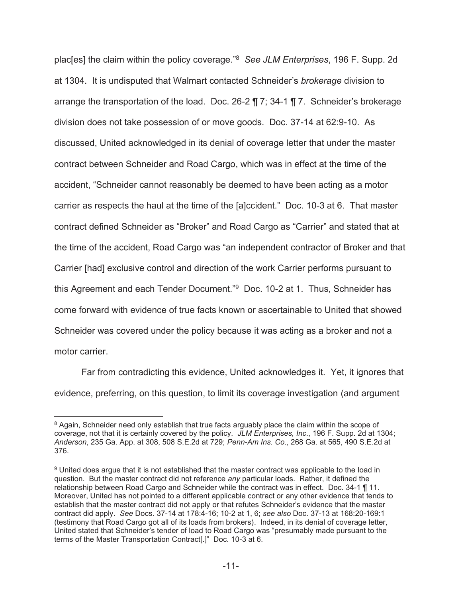plac[es] the claim within the policy coverage."<sup>8</sup> *See JLM Enterprises*, 196 F. Supp. 2d at 1304. It is undisputed that Walmart contacted Schneider's *brokerage* division to arrange the transportation of the load. Doc. 26-2 ¶ 7; 34-1 ¶ 7. Schneider's brokerage division does not take possession of or move goods. Doc. 37-14 at 62:9-10. As discussed, United acknowledged in its denial of coverage letter that under the master contract between Schneider and Road Cargo, which was in effect at the time of the accident, "Schneider cannot reasonably be deemed to have been acting as a motor carrier as respects the haul at the time of the [a]ccident." Doc. 10-3 at 6. That master contract defined Schneider as "Broker" and Road Cargo as "Carrier" and stated that at the time of the accident, Road Cargo was "an independent contractor of Broker and that Carrier [had] exclusive control and direction of the work Carrier performs pursuant to this Agreement and each Tender Document."<sup>9</sup> Doc. 10-2 at 1. Thus, Schneider has come forward with evidence of true facts known or ascertainable to United that showed Schneider was covered under the policy because it was acting as a broker and not a motor carrier.

Far from contradicting this evidence, United acknowledges it. Yet, it ignores that evidence, preferring, on this question, to limit its coverage investigation (and argument

 $^8$  Again, Schneider need only establish that true facts arguably place the claim within the scope of coverage, not that it is certainly covered by the policy. *JLM Enterprises, Inc*., 196 F. Supp. 2d at 1304; *Anderson*, 235 Ga. App. at 308, 508 S.E.2d at 729; *Penn-Am Ins. Co*., 268 Ga. at 565, 490 S.E.2d at 376.

 $^\mathrm{9}$  United does argue that it is not established that the master contract was applicable to the load in  $\,$ question. But the master contract did not reference *any* particular loads. Rather, it defined the relationship between Road Cargo and Schneider while the contract was in effect. Doc. 34-1 ¶ 11. Moreover, United has not pointed to a different applicable contract or any other evidence that tends to establish that the master contract did not apply or that refutes Schneider's evidence that the master contract did apply. *See* Docs. 37-14 at 178:4-16; 10-2 at 1, 6; *see also* Doc. 37-13 at 168:20-169:1 (testimony that Road Cargo got all of its loads from brokers). Indeed, in its denial of coverage letter, United stated that Schneider's tender of load to Road Cargo was "presumably made pursuant to the terms of the Master Transportation Contract[.]" Doc. 10-3 at 6.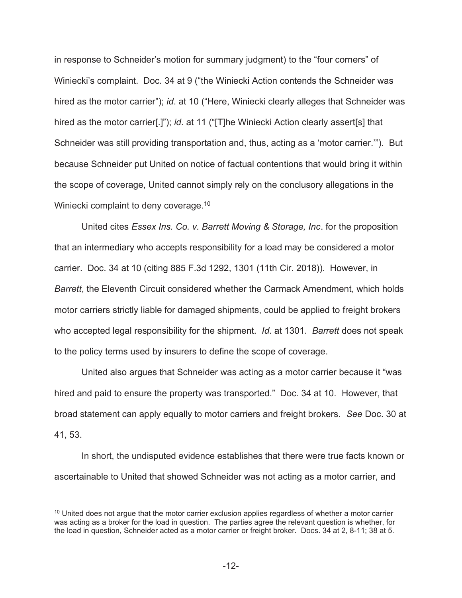in response to Schneider's motion for summary judgment) to the "four corners" of Winiecki's complaint. Doc. 34 at 9 ("the Winiecki Action contends the Schneider was hired as the motor carrier"); *id*. at 10 ("Here, Winiecki clearly alleges that Schneider was hired as the motor carrier[.]"); *id*. at 11 ("[T]he Winiecki Action clearly assert[s] that Schneider was still providing transportation and, thus, acting as a 'motor carrier.'"). But because Schneider put United on notice of factual contentions that would bring it within the scope of coverage, United cannot simply rely on the conclusory allegations in the Winiecki complaint to deny coverage.<sup>10</sup>

United cites *Essex Ins. Co. v. Barrett Moving & Storage, Inc*. for the proposition that an intermediary who accepts responsibility for a load may be considered a motor carrier. Doc. 34 at 10 (citing 885 F.3d 1292, 1301 (11th Cir. 2018)). However, in *Barrett*, the Eleventh Circuit considered whether the Carmack Amendment, which holds motor carriers strictly liable for damaged shipments, could be applied to freight brokers who accepted legal responsibility for the shipment. *Id*. at 1301. *Barrett* does not speak to the policy terms used by insurers to define the scope of coverage.

United also argues that Schneider was acting as a motor carrier because it "was hired and paid to ensure the property was transported." Doc. 34 at 10. However, that broad statement can apply equally to motor carriers and freight brokers. *See* Doc. 30 at 41, 53.

In short, the undisputed evidence establishes that there were true facts known or ascertainable to United that showed Schneider was not acting as a motor carrier, and

 $10$  United does not argue that the motor carrier exclusion applies regardless of whether a motor carrier was acting as a broker for the load in question. The parties agree the relevant question is whether, for the load in question, Schneider acted as a motor carrier or freight broker. Docs. 34 at 2, 8-11; 38 at 5.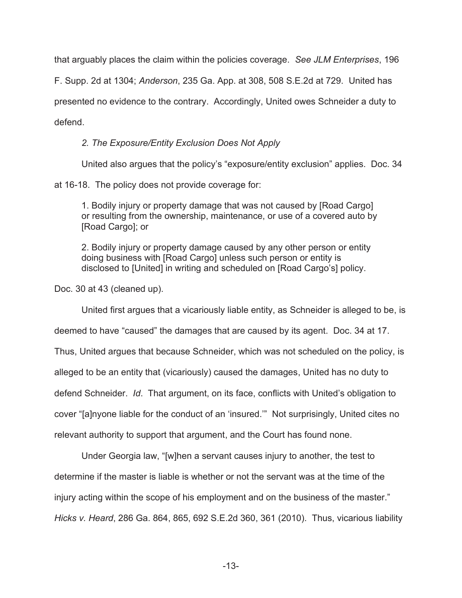that arguably places the claim within the policies coverage. *See JLM Enterprises*, 196

F. Supp. 2d at 1304; *Anderson*, 235 Ga. App. at 308, 508 S.E.2d at 729. United has presented no evidence to the contrary. Accordingly, United owes Schneider a duty to

defend.

# *2. The Exposure/Entity Exclusion Does Not Apply*

United also argues that the policy's "exposure/entity exclusion" applies. Doc. 34

at 16-18. The policy does not provide coverage for:

1. Bodily injury or property damage that was not caused by [Road Cargo] or resulting from the ownership, maintenance, or use of a covered auto by [Road Cargo]; or

2. Bodily injury or property damage caused by any other person or entity doing business with [Road Cargo] unless such person or entity is disclosed to [United] in writing and scheduled on [Road Cargo's] policy.

Doc. 30 at 43 (cleaned up).

United first argues that a vicariously liable entity, as Schneider is alleged to be, is deemed to have "caused" the damages that are caused by its agent. Doc. 34 at 17. Thus, United argues that because Schneider, which was not scheduled on the policy, is alleged to be an entity that (vicariously) caused the damages, United has no duty to defend Schneider. *Id*. That argument, on its face, conflicts with United's obligation to cover "[a]nyone liable for the conduct of an 'insured.'" Not surprisingly, United cites no relevant authority to support that argument, and the Court has found none.

 Under Georgia law, "[w]hen a servant causes injury to another, the test to determine if the master is liable is whether or not the servant was at the time of the injury acting within the scope of his employment and on the business of the master." *Hicks v. Heard*, 286 Ga. 864, 865, 692 S.E.2d 360, 361 (2010). Thus, vicarious liability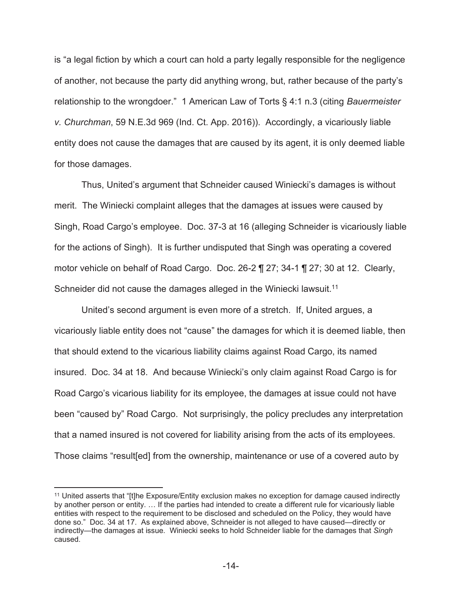is "a legal fiction by which a court can hold a party legally responsible for the negligence of another, not because the party did anything wrong, but, rather because of the party's relationship to the wrongdoer." 1 American Law of Torts § 4:1 n.3 (citing *Bauermeister v. Churchman*, 59 N.E.3d 969 (Ind. Ct. App. 2016)). Accordingly, a vicariously liable entity does not cause the damages that are caused by its agent, it is only deemed liable for those damages.

Thus, United's argument that Schneider caused Winiecki's damages is without merit. The Winiecki complaint alleges that the damages at issues were caused by Singh, Road Cargo's employee. Doc. 37-3 at 16 (alleging Schneider is vicariously liable for the actions of Singh). It is further undisputed that Singh was operating a covered motor vehicle on behalf of Road Cargo. Doc. 26-2 ¶ 27; 34-1 ¶ 27; 30 at 12. Clearly, Schneider did not cause the damages alleged in the Winiecki lawsuit.<sup>11</sup>

United's second argument is even more of a stretch. If, United argues, a vicariously liable entity does not "cause" the damages for which it is deemed liable, then that should extend to the vicarious liability claims against Road Cargo, its named insured. Doc. 34 at 18. And because Winiecki's only claim against Road Cargo is for Road Cargo's vicarious liability for its employee, the damages at issue could not have been "caused by" Road Cargo. Not surprisingly, the policy precludes any interpretation that a named insured is not covered for liability arising from the acts of its employees. Those claims "result[ed] from the ownership, maintenance or use of a covered auto by

<sup>11</sup> United asserts that "[t]he Exposure/Entity exclusion makes no exception for damage caused indirectly by another person or entity. … If the parties had intended to create a different rule for vicariously liable entities with respect to the requirement to be disclosed and scheduled on the Policy, they would have done so." Doc. 34 at 17. As explained above, Schneider is not alleged to have caused—directly or indirectly—the damages at issue. Winiecki seeks to hold Schneider liable for the damages that *Singh* caused.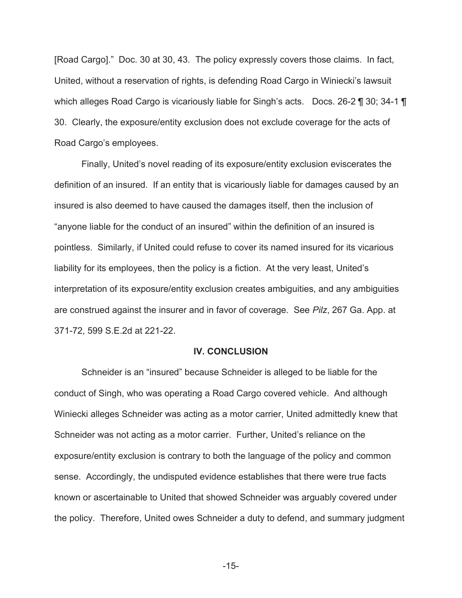[Road Cargo]." Doc. 30 at 30, 43. The policy expressly covers those claims. In fact, United, without a reservation of rights, is defending Road Cargo in Winiecki's lawsuit which alleges Road Cargo is vicariously liable for Singh's acts. Docs. 26-2 ¶ 30; 34-1 ¶ 30. Clearly, the exposure/entity exclusion does not exclude coverage for the acts of Road Cargo's employees.

Finally, United's novel reading of its exposure/entity exclusion eviscerates the definition of an insured. If an entity that is vicariously liable for damages caused by an insured is also deemed to have caused the damages itself, then the inclusion of "anyone liable for the conduct of an insured" within the definition of an insured is pointless. Similarly, if United could refuse to cover its named insured for its vicarious liability for its employees, then the policy is a fiction. At the very least, United's interpretation of its exposure/entity exclusion creates ambiguities, and any ambiguities are construed against the insurer and in favor of coverage. See *Pilz*, 267 Ga. App. at 371-72, 599 S.E.2d at 221-22.

### **IV. CONCLUSION**

Schneider is an "insured" because Schneider is alleged to be liable for the conduct of Singh, who was operating a Road Cargo covered vehicle. And although Winiecki alleges Schneider was acting as a motor carrier, United admittedly knew that Schneider was not acting as a motor carrier. Further, United's reliance on the exposure/entity exclusion is contrary to both the language of the policy and common sense. Accordingly, the undisputed evidence establishes that there were true facts known or ascertainable to United that showed Schneider was arguably covered under the policy. Therefore, United owes Schneider a duty to defend, and summary judgment

-15-